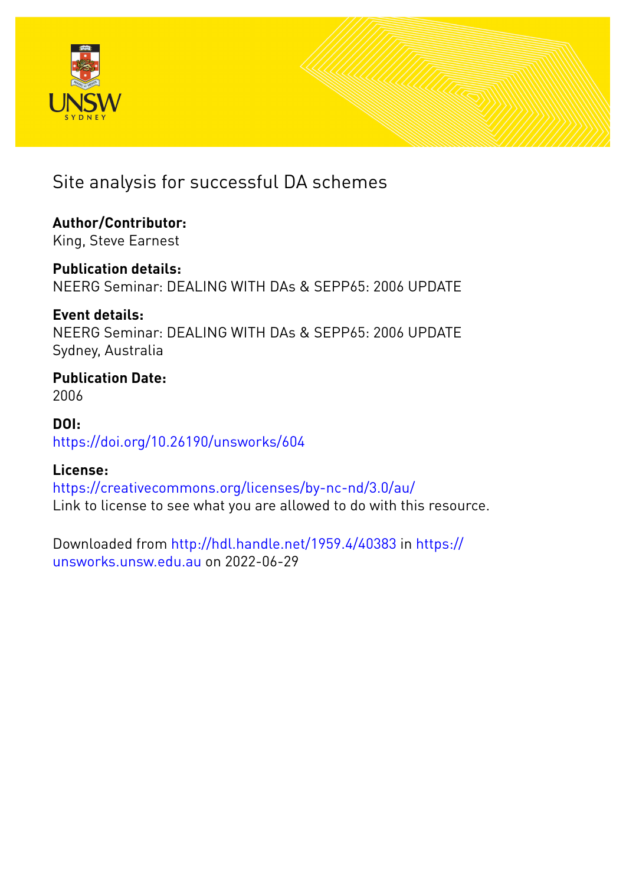

Site analysis for successful DA schemes

# **Author/Contributor:**

King, Steve Earnest

## **Publication details:**

NEERG Seminar: DEALING WITH DAs & SEPP65: 2006 UPDATE

## **Event details:**

NEERG Seminar: DEALING WITH DAs & SEPP65: 2006 UPDATE Sydney, Australia

## **Publication Date:** 2006

## **DOI:** [https://doi.org/10.26190/unsworks/604](http://dx.doi.org/https://doi.org/10.26190/unsworks/604)

## **License:**

<https://creativecommons.org/licenses/by-nc-nd/3.0/au/> Link to license to see what you are allowed to do with this resource.

Downloaded from <http://hdl.handle.net/1959.4/40383> in [https://](https://unsworks.unsw.edu.au) [unsworks.unsw.edu.au](https://unsworks.unsw.edu.au) on 2022-06-29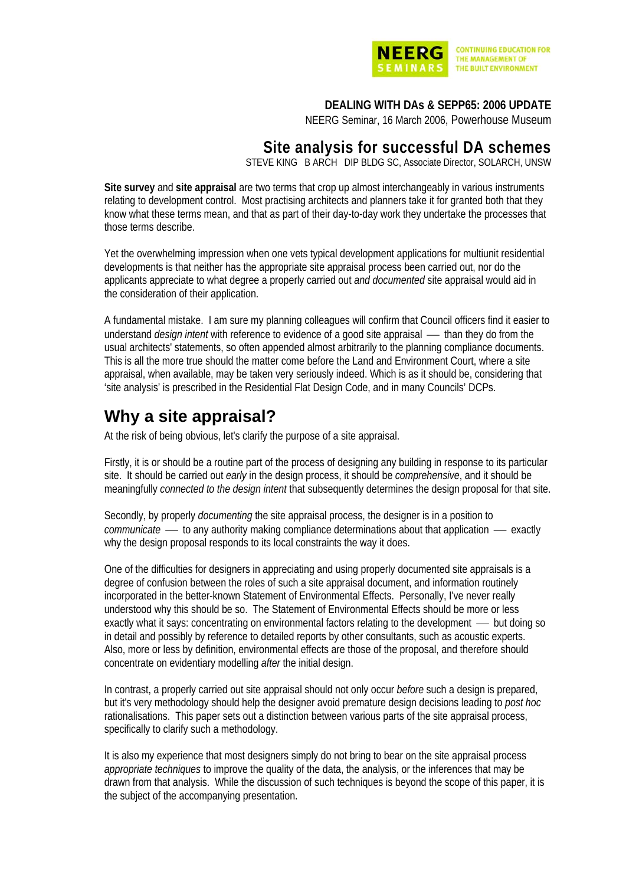

**CONTINUING EDUCATION FOR** THE MANAGEMENT OF THE BUILT ENVIRONMENT

## **DEALING WITH DAs & SEPP65: 2006 UPDATE**

NEERG Seminar, 16 March 2006, Powerhouse Museum

## **Site analysis for successful DA schemes**

STEVE KING B ARCH DIP BLDG SC, Associate Director, SOLARCH, UNSW

**Site survey** and **site appraisal** are two terms that crop up almost interchangeably in various instruments relating to development control. Most practising architects and planners take it for granted both that they know what these terms mean, and that as part of their day-to-day work they undertake the processes that those terms describe.

Yet the overwhelming impression when one vets typical development applications for multiunit residential developments is that neither has the appropriate site appraisal process been carried out, nor do the applicants appreciate to what degree a properly carried out *and documented* site appraisal would aid in the consideration of their application.

A fundamental mistake. I am sure my planning colleagues will confirm that Council officers find it easier to understand *design intent* with reference to evidence of a good site appraisal — than they do from the usual architects' statements, so often appended almost arbitrarily to the planning compliance documents. This is all the more true should the matter come before the Land and Environment Court, where a site appraisal, when available, may be taken very seriously indeed. Which is as it should be, considering that 'site analysis' is prescribed in the Residential Flat Design Code, and in many Councils' DCPs.

## **Why a site appraisal?**

At the risk of being obvious, let's clarify the purpose of a site appraisal.

Firstly, it is or should be a routine part of the process of designing any building in response to its particular site. It should be carried out *early* in the design process, it should be *comprehensive*, and it should be meaningfully *connected to the design intent* that subsequently determines the design proposal for that site.

Secondly, by properly *documenting* the site appraisal process, the designer is in a position to *communicate* — to any authority making compliance determinations about that application — exactly why the design proposal responds to its local constraints the way it does.

One of the difficulties for designers in appreciating and using properly documented site appraisals is a degree of confusion between the roles of such a site appraisal document, and information routinely incorporated in the better-known Statement of Environmental Effects. Personally, I've never really understood why this should be so. The Statement of Environmental Effects should be more or less exactly what it says: concentrating on environmental factors relating to the development — but doing so in detail and possibly by reference to detailed reports by other consultants, such as acoustic experts. Also, more or less by definition, environmental effects are those of the proposal, and therefore should concentrate on evidentiary modelling *after* the initial design.

In contrast, a properly carried out site appraisal should not only occur *before* such a design is prepared, but it's very methodology should help the designer avoid premature design decisions leading to *post hoc* rationalisations. This paper sets out a distinction between various parts of the site appraisal process, specifically to clarify such a methodology.

It is also my experience that most designers simply do not bring to bear on the site appraisal process *appropriate techniques* to improve the quality of the data, the analysis, or the inferences that may be drawn from that analysis. While the discussion of such techniques is beyond the scope of this paper, it is the subject of the accompanying presentation.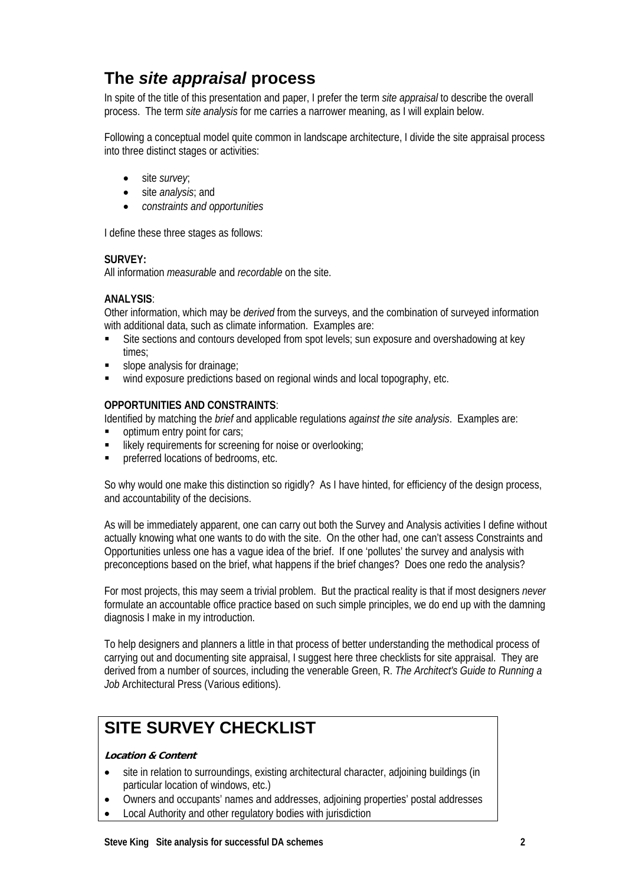# **The** *site appraisal* **process**

In spite of the title of this presentation and paper, I prefer the term *site appraisal* to describe the overall process. The term *site analysis* for me carries a narrower meaning, as I will explain below.

Following a conceptual model quite common in landscape architecture, I divide the site appraisal process into three distinct stages or activities:

- site *survey*;
- site *analysis*; and
- *constraints and opportunities*

I define these three stages as follows:

## **SURVEY:**

All information *measurable* and *recordable* on the site.

## **ANALYSIS**:

Other information, which may be *derived* from the surveys, and the combination of surveyed information with additional data, such as climate information. Examples are:

- Site sections and contours developed from spot levels; sun exposure and overshadowing at key times;
- slope analysis for drainage;
- wind exposure predictions based on regional winds and local topography, etc.

## **OPPORTUNITIES AND CONSTRAINTS**:

Identified by matching the *brief* and applicable regulations *against the site analysis*. Examples are:

- optimum entry point for cars;
- likely requirements for screening for noise or overlooking;
- preferred locations of bedrooms, etc.

So why would one make this distinction so rigidly? As I have hinted, for efficiency of the design process, and accountability of the decisions.

As will be immediately apparent, one can carry out both the Survey and Analysis activities I define without actually knowing what one wants to do with the site. On the other had, one can't assess Constraints and Opportunities unless one has a vague idea of the brief. If one 'pollutes' the survey and analysis with preconceptions based on the brief, what happens if the brief changes? Does one redo the analysis?

For most projects, this may seem a trivial problem. But the practical reality is that if most designers *never* formulate an accountable office practice based on such simple principles, we do end up with the damning diagnosis I make in my introduction.

To help designers and planners a little in that process of better understanding the methodical process of carrying out and documenting site appraisal, I suggest here three checklists for site appraisal. They are derived from a number of sources, including the venerable Green, R. *The Architect's Guide to Running a Job* Architectural Press (Various editions).

## **SITE SURVEY CHECKLIST**

## **Location & Content**

- site in relation to surroundings, existing architectural character, adjoining buildings (in particular location of windows, etc.)
- Owners and occupants' names and addresses, adjoining properties' postal addresses
- Local Authority and other regulatory bodies with jurisdiction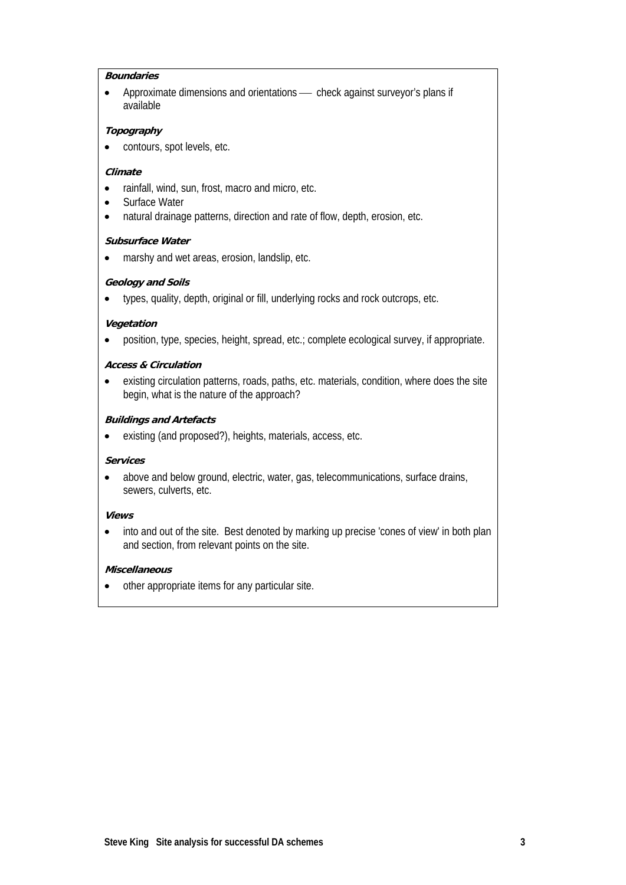#### **Boundaries**

• Approximate dimensions and orientations — check against surveyor's plans if available

#### **Topography**

• contours, spot levels, etc.

#### **Climate**

- rainfall, wind, sun, frost, macro and micro, etc.
- Surface Water
- natural drainage patterns, direction and rate of flow, depth, erosion, etc.

#### **Subsurface Water**

• marshy and wet areas, erosion, landslip, etc.

#### **Geology and Soils**

• types, quality, depth, original or fill, underlying rocks and rock outcrops, etc.

#### **Vegetation**

• position, type, species, height, spread, etc.; complete ecological survey, if appropriate.

#### **Access & Circulation**

• existing circulation patterns, roads, paths, etc. materials, condition, where does the site begin, what is the nature of the approach?

## **Buildings and Artefacts**

existing (and proposed?), heights, materials, access, etc.

#### **Services**

• above and below ground, electric, water, gas, telecommunications, surface drains, sewers, culverts, etc.

#### **Views**

• into and out of the site. Best denoted by marking up precise 'cones of view' in both plan and section, from relevant points on the site.

#### **Miscellaneous**

• other appropriate items for any particular site.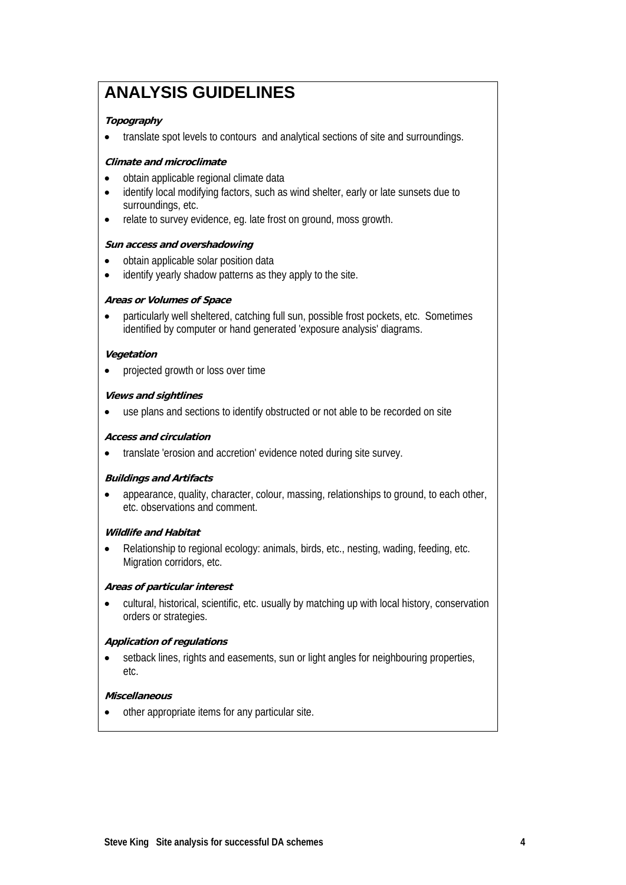# **ANALYSIS GUIDELINES**

## **Topography**

• translate spot levels to contours and analytical sections of site and surroundings.

## **Climate and microclimate**

- obtain applicable regional climate data
- identify local modifying factors, such as wind shelter, early or late sunsets due to surroundings, etc.
- relate to survey evidence, eg. late frost on ground, moss growth.

#### **Sun access and overshadowing**

- obtain applicable solar position data
- identify yearly shadow patterns as they apply to the site.

## **Areas or Volumes of Space**

• particularly well sheltered, catching full sun, possible frost pockets, etc. Sometimes identified by computer or hand generated 'exposure analysis' diagrams.

## **Vegetation**

• projected growth or loss over time

## **Views and sightlines**

use plans and sections to identify obstructed or not able to be recorded on site

## **Access and circulation**

• translate 'erosion and accretion' evidence noted during site survey.

## **Buildings and Artifacts**

• appearance, quality, character, colour, massing, relationships to ground, to each other, etc. observations and comment.

## **Wildlife and Habitat**

• Relationship to regional ecology: animals, birds, etc., nesting, wading, feeding, etc. Migration corridors, etc.

## **Areas of particular interest**

• cultural, historical, scientific, etc. usually by matching up with local history, conservation orders or strategies.

## **Application of regulations**

• setback lines, rights and easements, sun or light angles for neighbouring properties, etc.

## **Miscellaneous**

• other appropriate items for any particular site.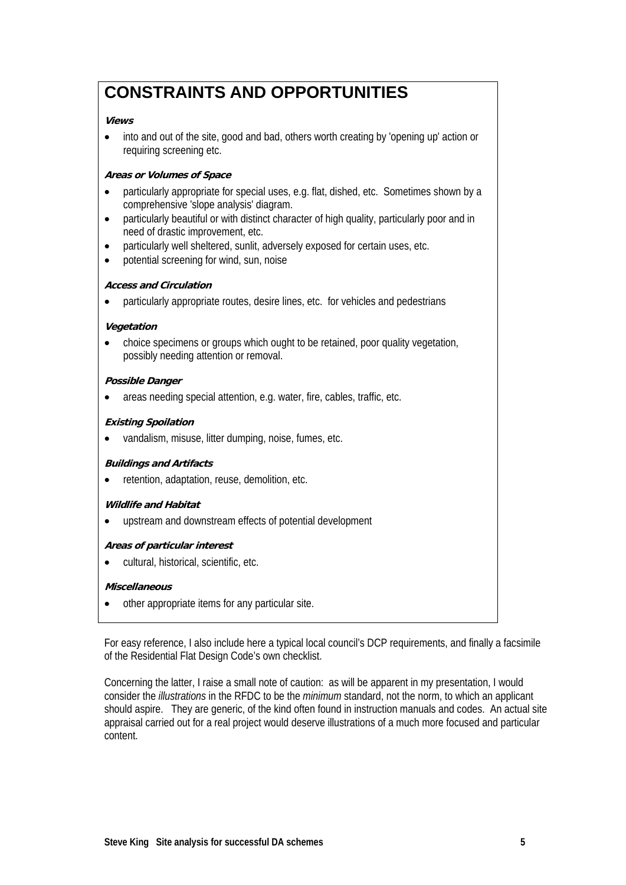# **CONSTRAINTS AND OPPORTUNITIES**

## **Views**

• into and out of the site, good and bad, others worth creating by 'opening up' action or requiring screening etc.

## **Areas or Volumes of Space**

- particularly appropriate for special uses, e.g. flat, dished, etc. Sometimes shown by a comprehensive 'slope analysis' diagram.
- particularly beautiful or with distinct character of high quality, particularly poor and in need of drastic improvement, etc.
- particularly well sheltered, sunlit, adversely exposed for certain uses, etc.
- potential screening for wind, sun, noise

## **Access and Circulation**

• particularly appropriate routes, desire lines, etc. for vehicles and pedestrians

## **Vegetation**

• choice specimens or groups which ought to be retained, poor quality vegetation, possibly needing attention or removal.

## **Possible Danger**

• areas needing special attention, e.g. water, fire, cables, traffic, etc.

## **Existing Spoilation**

• vandalism, misuse, litter dumping, noise, fumes, etc.

## **Buildings and Artifacts**

• retention, adaptation, reuse, demolition, etc.

## **Wildlife and Habitat**

• upstream and downstream effects of potential development

## **Areas of particular interest**

• cultural, historical, scientific, etc.

## **Miscellaneous**

other appropriate items for any particular site.

For easy reference, I also include here a typical local council's DCP requirements, and finally a facsimile of the Residential Flat Design Code's own checklist.

Concerning the latter, I raise a small note of caution: as will be apparent in my presentation, I would consider the *illustrations* in the RFDC to be the *minimum* standard, not the norm, to which an applicant should aspire. They are generic, of the kind often found in instruction manuals and codes. An actual site appraisal carried out for a real project would deserve illustrations of a much more focused and particular content.